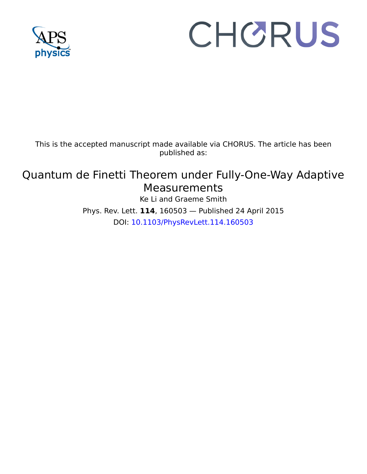

## CHORUS

This is the accepted manuscript made available via CHORUS. The article has been published as:

## Quantum de Finetti Theorem under Fully-One-Way Adaptive **Measurements**

Ke Li and Graeme Smith Phys. Rev. Lett. **114**, 160503 — Published 24 April 2015 DOI: [10.1103/PhysRevLett.114.160503](http://dx.doi.org/10.1103/PhysRevLett.114.160503)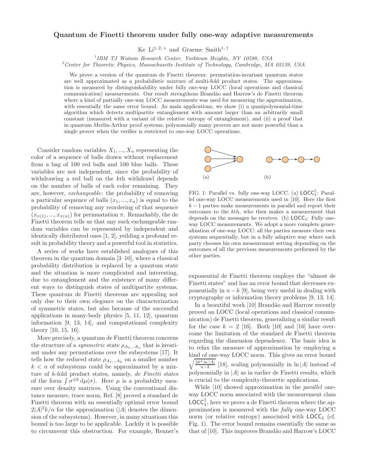## Quantum de Finetti theorem under fully one-way adaptive measurements

Ke Li<sup>1, 2, \*</sup> and Graeme Smith<sup>1, †</sup>

<sup>1</sup>IBM TJ Watson Research Center, Yorktown Heights, NY 10598, USA

 $^2$ Center for Theoretic Physics, Massachusetts Institute of Technology, Cambridge, MA 02139, USA

We prove a version of the quantum de Finetti theorem: permutation-invariant quantum states are well approximated as a probabilistic mixture of multi-fold product states. The approximation is measured by distinguishability under fully one-way LOCC (local operations and classical communication) measurements. Our result strengthens Brand˜ao and Harrow's de Finetti theorem where a kind of partially one-way LOCC measurements was used for measuring the approximation, with essentially the same error bound. As main applications, we show (i) a quasipolynomial-time algorithm which detects multipartite entanglement with amount larger than an arbitrarily small constant (measured with a variant of the relative entropy of entanglement), and (ii) a proof that in quantum Merlin-Arthur proof systems, polynomially many provers are not more powerful than a single prover when the verifier is restricted to one-way LOCC operations.

Consider random variables  $X_1, ..., X_n$  representing the color of a sequence of balls drawn without replacement from a bag of 100 red balls and 100 blue balls. These variables are not independent, since the probability of withdrawing a red ball on the kth withdrawl depends on the number of balls of each color remaining. They are, however, *exchangeable*: the probability of removing a particular sequence of balls  $(x_1, ..., x_n)$  is equal to the probability of removing any reordering of that sequence  $(x_{\pi(1)},...,x_{\pi(n)})$  for permuatation  $\pi$ . Remarkably, the de Finetti theorem tells us that any such exchangeable random variables can be represented by independent and identically distributed ones [1, 2], yeilding a profound result in probability theory and a powerful tool in statistics.

A series of works have established analogues of this theorem in the quantum domain [3–10], where a classical probability distribution is replaced by a quantum state and the situation is more complicated and interesting, due to entanglement and the existence of many different ways to distinguish states of multipartite systems. These quantum de Finetti theorems are appealing not only due to their own elegance on the characterization of symmetric states, but also because of the successful applications in many-body physics [5, 11, 12], quantum information [9, 13, 14], and computational complexity theory [10, 15, 16].

More precisely, a quantum de Finetti theorem concerns the structure of a *symmetric* state  $\rho_{A_1...A_n}$  that is invariant under any permutations over the subsystems [17]. It tells how the reduced state  $\rho_{A_1...A_k}$  on a smaller number  $k < n$  of subsystems could be approximated by a mixture of k-fold product states, namely, *de Finetti states* of the form  $\int \sigma^{\otimes k} d\mu(\sigma)$ . Here  $\mu$  is a probability measure over density matrices. Using the conventional distance measure, trace norm, Ref. [8] proved a standard de Finetti theorem with an essentially optimal error bound  $2|A|^2k/n$  for the approximation (|A| denotes the dimension of the subsystems). However, in many situations this bound is too large to be applicable. Luckily it is possible to circumvent this obstruction. For example, Renner's



FIG. 1: Parallel vs. fully one-way LOCC. (a)  $\text{LOCC}_1^{\parallel}$ : Parallel one-way LOCC measurements used in [10]. Here the first  $k-1$  parties make measurements in parallel and report their outcomes to the kth, who then makes a measurement that depends on the messages he receives. (b)  $\text{LOCC}_1$ : Fully oneway LOCC measurements. We adopt a more complete generalization of one-way LOCC: all the parties measure their own systems sequentially, but in a fully adaptive way where each party chooses his own measurement setting depending on the outcomes of all the previous measurements performed by the other parties.

exponential de Finetti theorem employs the "almost de Finetti states" and has an error bound that decreases exponentially in  $n - k$  [9], being very useful in dealing with cryptography or information theory problems [9, 13, 14].

In a beautiful work [10] Brandão and Harrow recently proved an LOCC (local operations and classical communication) de Finetti theorem, generalizing a similar result for the case  $k = 2$  [16]. Both [10] and [16] have overcome the limitation of the standard de Finetti theorem regarding the dimension dependence. The basic idea is to relax the measure of approximation by employing a kind of one-way LOCC norm. This gives an error bound  $\sqrt{\frac{2k^2 \ln |A|}{n-k}}$  [18], scaling polynomially in ln |A| instead of polynomially in  $|A|$  as in earlier de Finetti results, which is crucial to the complexity-theoretic applications.

While [10] showed approximation in the *parallel* oneway LOCC norm associated with the measurement class  $\mathsf{LOCC}_1^{\parallel}$ , here we prove a de Finetti theorem where the approximation is measured with the *fully* one-way LOCC norm (or relative entropy) associated with  $LOCC<sub>1</sub>$  (cf. Fig. 1). The error bound remains essentially the same as that of [10]. This improves Brandão and Harrow's LOCC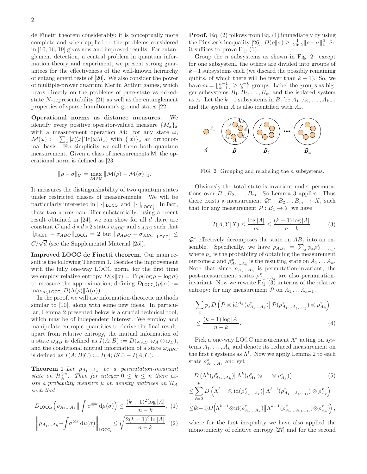de Finetti theorem considerably: it is conceptually more complete and when applied to the problems considered in [10, 16, 19] gives new and improved results. For entanglement detection, a central problem in quantum information theory and experiment, we present strong guarantees for the effectiveness of the well-known heirarchy of entanglement tests of [20]. We also consider the power of multiple-prover quantum Merlin Arthur games, which bears directly on the problems of pure-state vs mixedstate N-representability [21] as well as the entanglement properties of sparse hamiltonian's ground states [22].

Operational norms as distance measures. We identify every positive operator-valued measure  $\{M_x\}_x$ with a measurement operation  $\mathcal{M}$ : for any state  $\omega$ ,  $\mathcal{M}(\omega) := \sum_x |x\rangle\langle x| \operatorname{Tr}(\omega M_x)$  with  $\{|x\rangle\}_x$  an orthonormal basis. For simplicity we call them both quantum measurement. Given a class of measurements M, the operational norm is defined as [23]

$$
\|\rho - \sigma\|_{\mathsf{M}} = \max_{\mathcal{M} \in \mathsf{M}} \|\mathcal{M}(\rho) - \mathcal{M}(\sigma)\|_1.
$$

It measures the distinguishability of two quantum states under restricted classes of measurements. We will be particularly interested in  $\|\cdot\|_{\mathsf{LOCC}_1}$  and  $\|\cdot\|_{\mathsf{LOCC}_1^{\parallel}}$ . In fact, these two norms can differ substantially: using a recent result obtained in  $[24]$ , we can show for all d there are constant C and  $d \times d \times 2$  states  $\rho_{ABC}$  and  $\sigma_{ABC}$  such that  $\|\rho_{ABC} - \sigma_{ABC}\|_{\text{LOCC}_1} = 2 \text{ but } \|\rho_{ABC} - \sigma_{ABC}\|_{\text{LOCC}_1^{\text{II}}} \leq$  $C/\sqrt{d}$  (see the Supplemental Material [25]).

Improved LOCC de Finetti theorem. Our main result is the following Theorem 1. Besides the improvement with the fully one-way LOCC norm, for the first time we employ relative entropy  $D(\rho||\sigma) = \text{Tr} \rho(\log \rho - \log \sigma)$ to measure the approximation, defining  $D_{\text{LOCC}_1}(\rho||\sigma) :=$  $\max_{\Lambda \in \text{LOCC}_1} D(\Lambda(\rho) || \Lambda(\sigma)).$ 

In the proof, we will use information-theoretic methods similar to [10], along with some new ideas. In particular, Lemma 2 presented below is a crucial technical tool, which may be of independent interest. We employ and manipulate entropic quantities to derive the final result: apart from relative entropy, the mutual information of a state  $\omega_{AB}$  is defined as  $I(A;B) := D(\omega_{AB}||\omega_A \otimes \omega_B),$ and the conditional mutual information of a state  $\omega_{ABC}$ is defined as  $I(A;B|C) := I(A;BC) - I(A;C)$ .

**Theorem 1** Let  $\rho_{A_1...A_n}$  be a permutation-invariant *state on*  $\mathcal{H}_A^{\otimes n}$ . Then for integer  $0 \leq k \leq n$  there ex*ists a probability measure* µ *on density matrices on* H<sup>A</sup> *such that*

$$
D_{\mathsf{LOCC}_1}\left(\rho_{A_1...A_k}\Big|\Big| \int \sigma^{\otimes k} \, \mathrm{d}\mu(\sigma)\right) \le \frac{(k-1)^2 \log |A|}{n-k}, \tag{1}
$$

$$
\left\|\rho_{A_1...A_k} - \int \sigma^{\otimes k} \, \mathrm{d}\mu(\sigma) \right\|_{\text{LOCC}_1} \leq \sqrt{\frac{2(k-1)^2 \ln |A|}{n-k}}. \tag{2}
$$

**Proof.** Eq.  $(2)$  follows from Eq.  $(1)$  immediately by using the Pinsker's inequality [26],  $D(\rho||\sigma) \ge \frac{1}{2 \ln 2} ||\rho - \sigma||_1^2$ . So it suffices to prove Eq. (1).

Group the  $n$  subsystems as shown in Fig. 2: except for one subsystem, the others are divided into groups of  $k-1$  subsystems each (we discard the possibly remaining qubits, of which there will be fewer than  $k - 1$ ). So, we have  $m = \lfloor \frac{n-1}{k-1} \rfloor \ge \frac{n-k}{k-1}$  groups. Label the groups as bigger subsystems  $B_1, B_2, \ldots, B_m$  and the isolated system as A. Let the  $k-1$  subsystems in  $B_1$  be  $A_1, A_2, \ldots, A_{k-1}$ and the system A is also identified with  $A_k$ .



FIG. 2: Grouping and relabeling the *n* subsystems.

Obviously the total state is invariant under permutations over  $B_1, B_2, \ldots, B_m$ . So Lemma 3 applies. Thus there exists a measurement  $Q^* : B_2 ... B_m \to X$ , such that for any measurement  $\mathcal{P}: B_1 \to Y$  we have

$$
I(A;Y|X) \le \frac{\log|A|}{m} \le \frac{(k-1)\log|A|}{n-k}.\tag{3}
$$

 $\mathcal{Q}^*$  effectively decomposes the state on  $AB_1$  into an ensemble. Specifically, we have  $\rho_{AB_1} = \sum_x p_x \rho_{A_1...A_k}^x$ , where  $p_x$  is the probability of obtaining the measurement outcome x and  $\rho_{A_1...A_k}^x$  is the resulting state on  $A_1...A_k$ . Note that since  $\rho_{A_1...A_n}$  is permutation-invariant, the post-measurement states  $\rho_{A_1...A_k}^x$  are also permutationinvariant. Now we rewrite Eq.  $(3)$  in terms of the relative entropy: for any measurement  $\mathcal P$  on  $A_1 \dots A_{k-1}$ ,

$$
\sum_{x} p_x D\left(\mathcal{P}\otimes \mathrm{id}^{A_k}(\rho_{A_1...A_k}^x) \middle\| \mathcal{P}(\rho_{A_1...A_{(k-1)}}^x) \otimes \rho_{A_k}^x\right)
$$
  

$$
\leq \frac{(k-1)\log |A|}{n-k}.
$$
 (4)

Pick a one-way LOCC measurement  $\Lambda^k$  acting on systems  $A_1, \ldots, A_k$  and denote its reduced measurement on the first  $\ell$  systems as  $\Lambda^{\ell}$ . Now we apply Lemma 2 to each state  $\rho_{A_1...A_k}^x$  and get

$$
D\left(\Lambda^k(\rho_{A_1...A_k}^x)\middle\|\Lambda^k(\rho_{A_1}^x\otimes\ldots\otimes\rho_{A_k}^x)\right) \tag{5}
$$

$$
\leq \sum_{\ell=2}^k D\left(\Lambda^{\ell-1} \otimes \mathrm{id}(\rho^x_{A_1\ldots A_\ell}) \middle\|\Lambda^{\ell-1}(\rho^x_{A_1\ldots A_{(\ell-1)}}) \otimes \rho^x_{A_\ell}\right) \leq (k-1)D\left(\Lambda^{k-1} \otimes \mathrm{id}(\rho^x_{A_1\ldots A_k}) \middle\|\Lambda^{k-1}(\rho^x_{A_1\ldots A_{(k-1)}}) \otimes \rho^x_{A_k}\right),
$$

where for the first inequality we have also applied the monotonicity of relative entropy [27] and for the second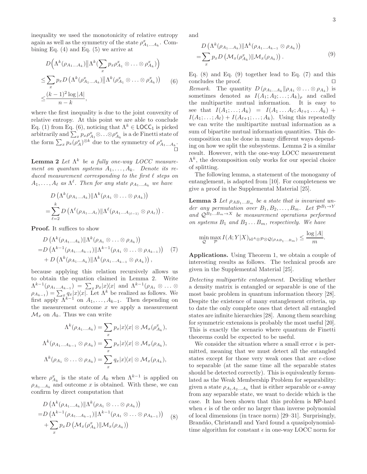inequality we used the monotonicity of relative entropy again as well as the symmetry of the state  $\rho_{A_1...A_k}^x.$  Combining Eq.  $(4)$  and Eq.  $(5)$  we arrive at

$$
D\left(\Lambda^k(\rho_{A_1...A_k})\middle\| \Lambda^k(\sum_x p_x \rho_{A_1}^x \otimes \ldots \otimes \rho_{A_k}^x)\right)
$$
  
\n
$$
\leq \sum_x p_x D\left(\Lambda^k(\rho_{A_1...A_k}^x)\middle\| \Lambda^k(\rho_{A_1}^x \otimes \ldots \otimes \rho_{A_k}^x)\right) \qquad (6)
$$
  
\n
$$
\leq \frac{(k-1)^2 \log |A|}{n-k},
$$

where the first inequality is due to the joint convexity of relative entropy. At this point we are able to conclude Eq. (1) from Eq. (6), noticing that  $\Lambda^k \in \text{LOCC}_1$  is picked arbitrarily and  $\sum_x p_x \rho_{A_1}^x \otimes \ldots \otimes \rho_{A_k}^x$  is a de Finetti state of the form  $\sum_{x} p_x(\rho_A^x)^{\otimes k}$  due to the symmetry of  $\rho_{A_1...A_k}^x$ . ⊓⊔

Lemma 2 *Let* Λ k *be a fully one-way LOCC measure*ment on quantum systems  $A_1, \ldots, A_k$ . Denote its re*duced measurement corresponding to the first* ℓ *steps on*  $A_1, \ldots, A_\ell$  as  $\Lambda^\ell$ . Then for any state  $\rho_{A_1...A_k}$  we have

$$
D\left(\Lambda^k(\rho_{A_1...A_k})\|\Lambda^k(\rho_{A_1}\otimes\ldots\otimes\rho_{A_k})\right)
$$
  
=
$$
\sum_{\ell=2}^k D\left(\Lambda^{\ell}(\rho_{A_1...A_{\ell}})\|\Lambda^{\ell}(\rho_{A_1...A_{(\ell-1)}}\otimes\rho_{A_{\ell}})\right).
$$

Proof. It suffices to show

$$
D\left(\Lambda^k(\rho_{A_1...A_k})\|\Lambda^k(\rho_{A_1}\otimes\ldots\otimes\rho_{A_k})\right)
$$
  
=
$$
D\left(\Lambda^{k-1}(\rho_{A_1...A_{k-1}})\|\Lambda^{k-1}(\rho_{A_1}\otimes\ldots\otimes\rho_{A_{k-1}})\right)
$$
 (7)  
+
$$
D\left(\Lambda^k(\rho_{A_1...A_k})\|\Lambda^k(\rho_{A_1...A_{k-1}}\otimes\rho_{A_k})\right),
$$

because applying this relation recursively allows us to obtain the equation claimed in Lemma 2. Write  $\Lambda^{k-1}(\rho_{A_1...A_{k-1}}) = \sum_x p_x |x\rangle\langle x|$  and  $\Lambda^{k-1}(\rho_{A_1} \otimes ... \otimes$  $(\rho_{A_{k-1}}) = \sum_{x_i} q_x |x\rangle\langle x|$ . Let  $\Lambda^k$  be realized as follows. We first apply  $\bar{\Lambda}^{k-1}$  on  $A_1, \ldots, A_{k-1}$ . Then depending on the measurement outcome  $x$  we apply a measurement  $\mathcal{M}_x$  on  $A_k$ . Thus we can write

$$
\Lambda^k(\rho_{A_1...A_k}) = \sum_x p_x |x\rangle\langle x| \otimes \mathcal{M}_x(\rho_{A_k}^x),
$$
  

$$
\Lambda^k(\rho_{A_1...A_{k-1}} \otimes \rho_{A_k}) = \sum_x p_x |x\rangle\langle x| \otimes \mathcal{M}_x(\rho_{A_k}),
$$
  

$$
\Lambda^k(\rho_{A_1} \otimes \ldots \otimes \rho_{A_k}) = \sum_x q_x |x\rangle\langle x| \otimes \mathcal{M}_x(\rho_{A_k}),
$$

where  $\rho_{A_k}^x$  is the state of  $A_k$  when  $\Lambda^{k-1}$  is applied on  $\rho_{A_1...A_k}$  and outcome x is obtained. With these, we can confirm by direct computation that

$$
D\left(\Lambda^k(\rho_{A_1...A_k})\|\Lambda^k(\rho_{A_1}\otimes\ldots\otimes\rho_{A_k})\right)
$$
  
=
$$
D\left(\Lambda^{k-1}(\rho_{A_1...A_{k-1}})\|\Lambda^{k-1}(\rho_{A_1}\otimes\ldots\otimes\rho_{A_{k-1}})\right)
$$
  
+
$$
\sum_x p_x D\left(\mathcal{M}_x(\rho_{A_k}^x)\|\mathcal{M}_x(\rho_{A_k})\right)
$$
 (8)

and

$$
D\left(\Lambda^k(\rho_{A_1...A_k})\|\Lambda^k(\rho_{A_1...A_{k-1}}\otimes\rho_{A_k})\right)
$$
  
= 
$$
\sum_x p_x D\left(\mathcal{M}_x(\rho_{A_k}^x)\|\mathcal{M}_x(\rho_{A_k})\right).
$$
 (9)

Eq.  $(8)$  and Eq.  $(9)$  together lead to Eq.  $(7)$  and this concludes the proof.

*Remark.* The quantity  $D(\rho_{A_1...A_k}||\rho_{A_1} \otimes ... \otimes \rho_{A_k})$  is sometimes denoted as  $I(A_1; A_2; \ldots; A_k)$ <sub>*ρ*</sub> and called the multipartite mutual information. It is easy to see that  $I(A_1; \ldots; A_k) = I(A_1 \ldots A_\ell; A_{\ell+1} \ldots A_k) +$  $I(A_1; \ldots; A_\ell) + I(A_{\ell+1}; \ldots; A_k)$ . Using this repeatedly we can write the multipartite mutual information as a sum of bipartite mutual information quantities. This decomposition can be done in many different ways depending on how we split the subsystems. Lemma 2 is a similar result. However, with the one-way LOCC measurement  $\Lambda^k$ , the decomposition only works for our special choice of splitting.

The following lemma, a statement of the monogamy of entanglement, is adapted from [10]. For completeness we give a proof in the Supplemental Material [25].

**Lemma 3** Let  $\rho_{AB_1...B_m}$  be a state that is invariant un $der$  any permutation over  $B_1, B_2, \ldots, B_m$ . Let  $\mathcal{P}^{B_1 \rightarrow Y}$ *and*  $Q^{B_2...B_m\to X}$  *be measurement operations performed on systems*  $B_1$  *and*  $B_2 \ldots B_m$ *, respectively. We have* 

$$
\min_{\mathcal{Q}} \max_{\mathcal{P}} I(A;Y|X)_{\mathrm{id}^A \otimes \mathcal{P} \otimes \mathcal{Q}(\rho_{AB_1...B_m})} \le \frac{\log |A|}{m}.
$$

Applications. Using Theorem 1, we obtain a couple of interesting results as follows. The technical proofs are given in the Supplemental Material [25].

*Detecting multipartite entanglement.* Deciding whether a density matrix is entangled or separable is one of the most basic problem in quantum information theory [28]. Despite the existence of many entanglement criteria, up to date the only complete ones that detect all entangled states are infinite hierarchies [28]. Among them searching for symmetric extensions is probably the most useful [20]. This is exactly the scenario where quantum de Finetti theorems could be expected to be useful.

We consider the situation where a small error  $\epsilon$  is permitted, meaning that we must detect all the entangled states except for those very weak ones that are  $\epsilon$ -close to separable (at the same time all the separable states should be detected correctly). This is equivalently formulated as the Weak Membership Problem for separability: given a state  $\rho_{A_1 A_2 ... A_k}$  that is either separable or  $\epsilon$ -away from any separable state, we want to decide which is the case. It has been shown that this problem is NP-hard when  $\epsilon$  is of the order no larger than inverse polynomial of local dimensions (in trace norm) [29–31]. Surprisingly, Brandão, Christandl and Yard found a quasipolynomialtime algorithm for constant  $\epsilon$  in one-way LOCC norm for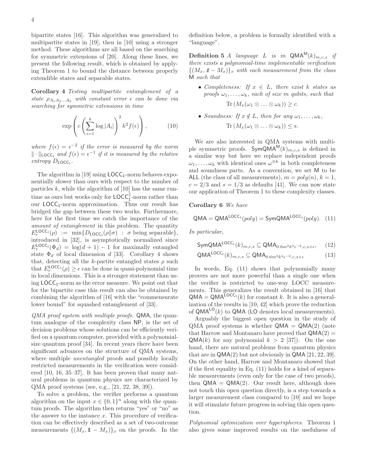bipartite states [16]. This algorithm was generalized to multipartite states in [19], then in [10] using a stronger method. These algorithms are all based on the searching for symmetric extensions of [20]. Along these lines, we present the following result, which is obtained by applying Theorem 1 to bound the distance between properly extendible states and separable states.

Corollary 4 *Testing multipartite entanglement of a state*  $\rho_{A_1A_2...A_k}$  *with constant error*  $\epsilon$  *can be done via searching for symmetric extensions in time*

$$
\exp\left(c\left(\sum_{i=1}^k \log |A_i|\right)^2 k^2 f(\epsilon)\right),\tag{10}
$$

where  $f(\epsilon) = \epsilon^{-2}$  *if the error is measured by the norm*  $\|\cdot\|_{\text{LOCC}_1}$  and  $f(\epsilon) = \epsilon^{-1}$  *if it is measured by the relative*  $entropy\ D_{\text{LOCC}_1}.$ 

The algorithm in [19] using  $\text{LOCC}_1$ -norm behaves exponentially slower than ours with respect to the number of particles  $k$ , while the algorithm of [10] has the same runtime as ours but works only for  $\text{LOCC}_1^{\parallel}$ -norm rather than our  $\text{LOCC}_1$ -norm approximation. Thus our result has bridged the gap between these two works. Furthermore, here for the first time we catch the importance of the *amount of entanglement* in this problem. The quantity  $E_r^{\text{LOCC}_1}(\rho) := \min\{D_{\text{LOCC}_1}(\rho||\sigma) : \sigma \text{ being separable}\},\$ introduced in [32], is asymptotically normalized since  $E_r^{\text{LOCC}_1}(\Phi_d) = \log(d+1) - 1$  for maximally entangled state  $\Phi_d$  of local dimension d [33]. Corollary 4 shows that, detecting all the k-partite entangled states  $\rho$  such that  $E_r^{\text{LOCC}_1}(\rho) \geq \epsilon$  can be done in quasi-polynomial time in local dimensions. This is a stronger statement than using  $\text{LOCC}_1$ -norm as the error measure. We point out that for the bipartite case this result can also be obtained by combining the algorithm of [16] with the "commensurate lower bound" for squashed entanglement of [33].

*QMA proof system with multiple proofs.* QMA, the quantum analogue of the complexity class NP, is the set of decision problems whose solutions can be efficiently verified on a quantum computer, provided with a polynomialsize quantum proof [34]. In recent years there have been significant advances on the structure of QMA systems, where multiple *unentangled* proofs and possibly locally restricted measurements in the verification were considered [10, 16, 35–37]. It has been proven that many natural problems in quantum physics are characterized by QMA proof systems (see, e.g., [21, 22, 38, 39]).

To solve a problem, the verifier performs a quantum algorithm on the input  $x \in \{0,1\}^n$  along with the quantum proofs. The algorithm then returns "yes" or "no" as the answer to the instance  $x$ . This procedure of verification can be effectively described as a set of two-outcome measurements  $\{(M_x, 1 - M_x)\}_x$  on the proofs. In the definition below, a problem is formally identified with a "language".

**Definition 5** *A* language *L* is in  $QMA^M(k)_{m,c,s}$  if *there exists a polynomial-time implementable verification*  $\{(M_x, 1\!\!1 - M_x)\}_x$  with each measurement from the class M *such that*

- *Completeness: If* x ∈ L*, there exist* k *states as proofs*  $\omega_1, \ldots, \omega_k$ *, each of size* m *qubits, such that*  $\text{Tr} \left( M_x(\omega_1 \otimes \ldots \otimes \omega_k) \right) \geq c.$
- *Soundness:* If  $x \notin L$ *, then for any*  $\omega_1, \ldots, \omega_k$ *,*  $\text{Tr} (M_x(\omega_1 \otimes \ldots \otimes \omega_k)) \leq s.$

We are also interested in QMA systems with multiple symmetric proofs.  $SymQMA^{M}(k)_{m,c,s}$  is defined in a similar way but here we replace independent proofs  $\omega_1, \ldots, \omega_k$  with identical ones  $\omega^{\otimes k}$  in both completeness and soundness parts. As a convention, we set M to be ALL (the class of all measurements),  $m = poly(n), k = 1$ ,  $c = 2/3$  and  $s = 1/3$  as defaults [41]. We can now state our application of Theorem 1 to these complexity classes.

Corollary 6 *We have*

$$
QMA = QMA^{LOCC_1}(poly) = SymQMA^{LOCC_1}(poly). \quad (11)
$$

*In particular,*

$$
\mathsf{SymQMA}^{\mathsf{LOCC}_1}(k)_{m,c,s} \subseteq \mathsf{QMA}_{0.6m^2k^2\epsilon^{-2},c,s+\epsilon},\quad(12)
$$

$$
\mathsf{QMA}^{\mathsf{LOCC}_1}(k)_{m,c,s} \subseteq \mathsf{QMA}_{0.6m^2k^4\epsilon^{-2},c,s+\epsilon}
$$
 (13)

In words, Eq. (11) shows that polynomially many provers are not more powerful than a single one when the verifier is restricted to one-way LOCC measurements. This generalizes the result obtained in [16] that  $QMA = QMA^{\text{LOCC}_1}(k)$  for constant k. It is also a generalization of the results in [10, 42] which prove the reduction of  $QMA^{LO}(k)$  to  $QMA$  (LO denotes local measurements).

Arguably the biggest open question in the study of  $QMA$  proof systems is whether  $QMA = QMA(2)$  (note that Harrow and Montanaro have proved that  $\mathsf{QMA}(2)$  =  $\mathsf{QMA}(k)$  for any polynomial  $k > 2$  [37]). On the one hand, there are natural problems from quantum physics that are in  $\mathsf{QMA}(2)$  but not obviously in  $\mathsf{QMA}\left[21, 22, 39\right]$ . On the other hand, Harrow and Montanaro showed that if the first equality in Eq. (11) holds for a kind of separable measurements (even only for the case of two proofs), then  $QMA = QMA(2)$ . Our result here, although does not touch this open question directly, is a step towards a larger measurement class compared to [10] and we hope it will stimulate future progress in solving this open question.

*Polynomial optimization over hyperspheres.* Theorem 1 also gives some improved results on the usefulness of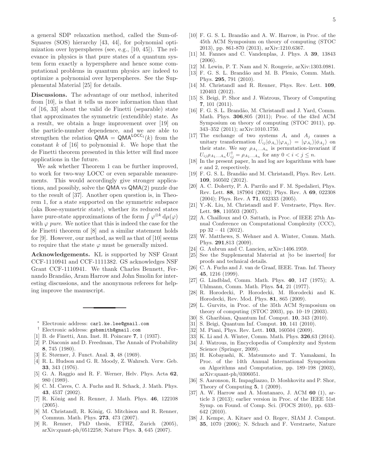a general SDP relaxation method, called the Sum-of-Squares (SOS) hierarchy [43, 44], for polynomial optimization over hyperspheres (see, e.g., [10, 45]). The relevance in physics is that pure states of a quantum system form exactly a hypersphere and hence some computational problems in quantum physics are indeed to optimize a polynomial over hyperspheres. See the Supplemental Material [25] for details.

Discussions. The advantage of our method, inherited from [10], is that it tells us more information than that of [16, 33] about the valid de Finetti (separable) state that approximates the symmetric (extendible) state. As a result, we obtain a huge improvement over [19] on the particle-number dependence, and we are able to strengthen the relation  $\overline{QMA} = \overline{QMA}^{LOCC_1}(k)$  from the constant  $k$  of [16] to polynomial  $k$ . We hope that the de Finetti theorem presented in this letter will find more applications in the future.

We ask whether Theorem 1 can be further improved, to work for two-way LOCC or even separable measurements. This would accordingly give stronger applications, and possibly, solve the QMA vs QMA(2) puzzle due to the result of [37]. Another open question is, in Theorem 1, for a state supported on the symmetric subspace (aka Bose-symmetric state), whether its reduced states have pure-state approximations of the form  $\int \varphi^{\otimes k} d\mu(\varphi)$ with  $\varphi$  *pure*. We notice that this is indeed the case for the de Finetti theorem of [8] and a similar statement holds for [9]. However, our method, as well as that of [10] seems to require that the state  $\varphi$  must be generally mixed.

Acknowledgements. KL is supported by NSF Grant CCF-1110941 and CCF-1111382. GS acknowledges NSF Grant CCF-1110941. We thank Charles Bennett, Fernando Brand˜ao, Aram Harrow and John Smolin for interesting discussions, and the anonymous referees for helping improve the manuscript.

<sup>∗</sup> Electronic address: carl.ke.lee@gmail.com

- † Electronic address: gsbsmith@gmail.com
- [1] B. de Finetti, Ann. Inst. H. Poincare 7, 1 (1937).
- [2] P. Diaconis and D. Freedman, The Annals of Probability 8, 745 (1980).
- [3] E. Størmer, J. Funct. Anal. 3, 48 (1969).
- [4] R. L. Hudson and G. R. Moody, Z. Wahrsch. Verw. Geb. 33, 343 (1976).
- [5] G. A. Raggio and R. F. Werner, Helv. Phys. Acta 62, 980 (1989).
- [6] C. M. Caves, C. A. Fuchs and R. Schack, J. Math. Phys. 43, 4537 (2002).
- [7] R. König and R. Renner, J. Math. Phys. 46, 122108  $(2005).$
- [8] M. Christandl, R. König, G. Mitchison and R. Renner, Commun. Math. Phys. 273, 473 (2007).
- [9] R. Renner, PhD thesis, ETHZ, Zurich (2005), arXiv:quant-ph/0512258; Nature Phys. 3, 645 (2007).
- [10] F. G. S. L. Brandão and A. W. Harrow, in Proc. of the 45th ACM Symposium on theory of computing (STOC 2013), pp. 861-870 (2013), arXiv:1210.6367.
- [11] M. Fannes and C. Vandenplas, J. Phys. A 39, 13843 (2006).
- [12] M. Lewin, P. T. Nam and N. Rougerie, arXiv:1303.0981.
- [13] F. G. S. L. Brandão and M. B. Plenio, Comm. Math. Phys. 295, 791 (2010).
- [14] M. Christandl and R. Renner, Phys. Rev. Lett. **109**, 120403 (2012).
- [15] S. Beigi, P. Shor and J. Watrous, Theory of Computing 7, 101 (2011).
- [16] F. G. S. L. Brandão, M. Christandl and J. Yard, Comm. Math. Phys. 306,805 (2011); Proc. of the 43rd ACM Symposium on theory of computing (STOC 2011), pp. 343–352 (2011); arXiv:1010.1750.
- [17] The exchange of two systems  $A_i$  and  $A_j$  causes a unitary transformation  $U_{ij}|\phi_{A_i}\rangle|\phi_{A_j}\rangle = |\phi_{A_i}\rangle|\phi_{A_j}\rangle$  on their state. We say  $\rho_{A_1...A_n}$  is permutation-invariant if  $U_{ij} \rho_{A_1...A_n} U_{ij}^{\dagger} = \rho_{A_1...A_n}$  for any  $0 < i < j \le n$ .
- [18] In the present paper, ln and log are logarithms with base e and 2, respectively.
- [19] F. G. S. L. Brandão and M. Christandl, Phys. Rev. Lett. 109, 160502 (2012).
- [20] A. C. Doherty, P. A. Parrilo and F. M. Spedalieri, Phys. Rev. Lett. 88, 187904 (2002); Phys. Rev. A 69, 022308 (2004); Phys. Rev. A 71, 032333 (2005).
- [21] Y.-K. Liu, M. Christandl and F. Verstraete, Phys. Rev. Lett. 98, 110503 (2007).
- [22] A. Chailloux and O. Sattath, in Proc. of IEEE 27th Annual Conference on Computational Complexity (CCC), pp 32 – 41 (2012).
- [23] W. Matthews, S. Wehner and A. Winter, Comm. Math. Phys. 291,813 (2009).
- [24] G. Aubrun and C. Lancien, arXiv:1406.1959.
- [25] See the Supplemental Material at [to be inserted] for proofs and technical details.
- [26] C. A. Fuchs and J. van de Graaf, IEEE. Tran. Inf. Theory 45, 1216 (1999).
- [27] G. Lindblad, Comm. Math. Phys. 40, 147 (1975); A. Uhlmann, Comm. Math. Phys. 54, 21 (1977).
- [28] R. Horodecki, P. Horodecki, M. Horodecki and K. Horodecki, Rev. Mod. Phys. 81, 865 (2009).
- [29] L. Gurvits, in Proc. of the 35th ACM Symposium on theory of computing (STOC 2003), pp. 10–19 (2003).
- [30] S. Gharibian, Quantum Inf. Comput. 10, 343 (2010).
- [31] S. Beigi, Quantum Inf. Comput. 10, 141 (2010).
- [32] M. Piani, Phys. Rev. Lett. **103**, 160504 (2009).
- [33] K. Li and A. Winter, Comm. Math. Phys. **326**,63 (2014).
- [34] J. Watrous, in Encyclopedia of Complexity and System Science (Springer, 2009).
- [35] H. Kobayashi, K. Matsumoto and T. Yamakami, In Proc. of the 14th Annual International Symposium on Algorithms and Computation, pp. 189–198 (2003), arXiv:quant-ph/0306051.
- [36] S. Aaronson, R. Impagliazzo, D. Moshkovitz and P. Shor, Theory of Computing 5, 1 (2009).
- [37] A. W. Harrow and A. Montanaro, J. ACM 60 (1), article 3 (2013); earlier version in Proc. of the IEEE 51st Symp. on Found. of Comp. Sci. (FOCS 2010), pp. 633– 642 (2010).
- [38] J. Kempe, A. Kitaev and O. Regev, SIAM J. Comput. 35, 1070 (2006); N. Schuch and F. Verstraete, Nature